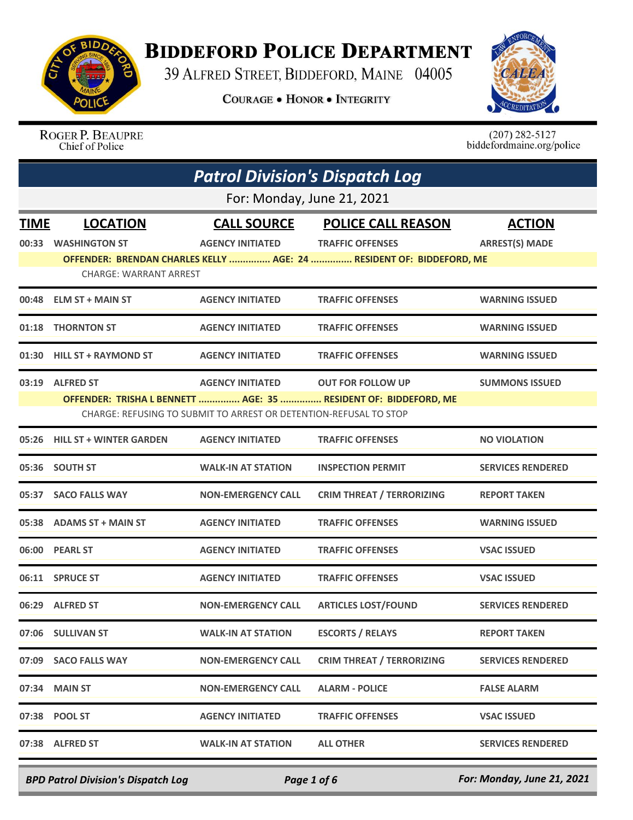

## **BIDDEFORD POLICE DEPARTMENT**

39 ALFRED STREET, BIDDEFORD, MAINE 04005

**COURAGE . HONOR . INTEGRITY** 



ROGER P. BEAUPRE Chief of Police

 $(207)$  282-5127<br>biddefordmaine.org/police

| <b>Patrol Division's Dispatch Log</b> |                                |                                                                   |                                                                      |                          |  |
|---------------------------------------|--------------------------------|-------------------------------------------------------------------|----------------------------------------------------------------------|--------------------------|--|
|                                       | For: Monday, June 21, 2021     |                                                                   |                                                                      |                          |  |
| <b>TIME</b>                           | <b>LOCATION</b>                | <b>CALL SOURCE</b>                                                | <b>POLICE CALL REASON</b>                                            | <b>ACTION</b>            |  |
|                                       | 00:33 WASHINGTON ST            | <b>AGENCY INITIATED</b>                                           | <b>TRAFFIC OFFENSES</b>                                              | <b>ARREST(S) MADE</b>    |  |
|                                       |                                |                                                                   | OFFENDER: BRENDAN CHARLES KELLY  AGE: 24  RESIDENT OF: BIDDEFORD, ME |                          |  |
|                                       | <b>CHARGE: WARRANT ARREST</b>  |                                                                   |                                                                      |                          |  |
| 00:48                                 | <b>ELM ST + MAIN ST</b>        | <b>AGENCY INITIATED</b>                                           | <b>TRAFFIC OFFENSES</b>                                              | <b>WARNING ISSUED</b>    |  |
|                                       | 01:18 THORNTON ST              | <b>AGENCY INITIATED</b>                                           | <b>TRAFFIC OFFENSES</b>                                              | <b>WARNING ISSUED</b>    |  |
|                                       | 01:30 HILL ST + RAYMOND ST     | <b>AGENCY INITIATED</b>                                           | <b>TRAFFIC OFFENSES</b>                                              | <b>WARNING ISSUED</b>    |  |
|                                       | 03:19 ALFRED ST                | <b>AGENCY INITIATED</b>                                           | <b>OUT FOR FOLLOW UP</b>                                             | <b>SUMMONS ISSUED</b>    |  |
|                                       |                                |                                                                   | OFFENDER: TRISHA L BENNETT  AGE: 35  RESIDENT OF: BIDDEFORD, ME      |                          |  |
|                                       |                                | CHARGE: REFUSING TO SUBMIT TO ARREST OR DETENTION-REFUSAL TO STOP |                                                                      |                          |  |
| 05:26                                 | <b>HILL ST + WINTER GARDEN</b> | <b>AGENCY INITIATED</b>                                           | <b>TRAFFIC OFFENSES</b>                                              | <b>NO VIOLATION</b>      |  |
|                                       | 05:36 SOUTH ST                 | <b>WALK-IN AT STATION</b>                                         | <b>INSPECTION PERMIT</b>                                             | <b>SERVICES RENDERED</b> |  |
| 05:37                                 | <b>SACO FALLS WAY</b>          | <b>NON-EMERGENCY CALL</b>                                         | <b>CRIM THREAT / TERRORIZING</b>                                     | <b>REPORT TAKEN</b>      |  |
|                                       | 05:38 ADAMS ST + MAIN ST       | <b>AGENCY INITIATED</b>                                           | <b>TRAFFIC OFFENSES</b>                                              | <b>WARNING ISSUED</b>    |  |
|                                       | 06:00 PEARL ST                 | <b>AGENCY INITIATED</b>                                           | <b>TRAFFIC OFFENSES</b>                                              | <b>VSAC ISSUED</b>       |  |
|                                       | 06:11 SPRUCE ST                | <b>AGENCY INITIATED</b>                                           | <b>TRAFFIC OFFENSES</b>                                              | <b>VSAC ISSUED</b>       |  |
|                                       | 06:29 ALFRED ST                | <b>NON-EMERGENCY CALL</b>                                         | <b>ARTICLES LOST/FOUND</b>                                           | <b>SERVICES RENDERED</b> |  |
|                                       | 07:06 SULLIVAN ST              | <b>WALK-IN AT STATION</b>                                         | <b>ESCORTS / RELAYS</b>                                              | <b>REPORT TAKEN</b>      |  |
|                                       | 07:09 SACO FALLS WAY           | <b>NON-EMERGENCY CALL</b>                                         | <b>CRIM THREAT / TERRORIZING</b>                                     | <b>SERVICES RENDERED</b> |  |
| 07:34                                 | <b>MAIN ST</b>                 | <b>NON-EMERGENCY CALL</b>                                         | <b>ALARM - POLICE</b>                                                | <b>FALSE ALARM</b>       |  |
|                                       | 07:38 POOL ST                  | <b>AGENCY INITIATED</b>                                           | <b>TRAFFIC OFFENSES</b>                                              | <b>VSAC ISSUED</b>       |  |
|                                       | 07:38 ALFRED ST                | <b>WALK-IN AT STATION</b>                                         | <b>ALL OTHER</b>                                                     | <b>SERVICES RENDERED</b> |  |

*BPD Patrol Division's Dispatch Log Page 1 of 6 For: Monday, June 21, 2021*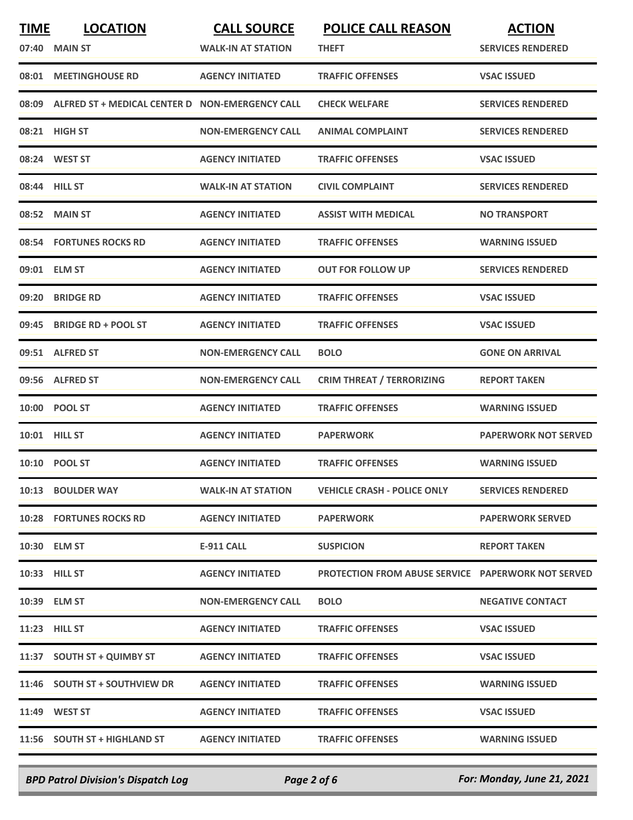| <b>TIME</b> | <b>LOCATION</b>                                       | <b>CALL SOURCE</b>        | <b>POLICE CALL REASON</b>                                 | <b>ACTION</b>               |
|-------------|-------------------------------------------------------|---------------------------|-----------------------------------------------------------|-----------------------------|
| 07:40       | <b>MAIN ST</b>                                        | <b>WALK-IN AT STATION</b> | THEFT                                                     | <b>SERVICES RENDERED</b>    |
| 08:01       | <b>MEETINGHOUSE RD</b>                                | <b>AGENCY INITIATED</b>   | <b>TRAFFIC OFFENSES</b>                                   | <b>VSAC ISSUED</b>          |
|             | 08:09 ALFRED ST + MEDICAL CENTER D NON-EMERGENCY CALL |                           | <b>CHECK WELFARE</b>                                      | <b>SERVICES RENDERED</b>    |
|             | 08:21 HIGH ST                                         | <b>NON-EMERGENCY CALL</b> | <b>ANIMAL COMPLAINT</b>                                   | <b>SERVICES RENDERED</b>    |
|             | 08:24 WEST ST                                         | <b>AGENCY INITIATED</b>   | <b>TRAFFIC OFFENSES</b>                                   | <b>VSAC ISSUED</b>          |
|             | 08:44 HILL ST                                         | <b>WALK-IN AT STATION</b> | <b>CIVIL COMPLAINT</b>                                    | <b>SERVICES RENDERED</b>    |
|             | 08:52 MAIN ST                                         | <b>AGENCY INITIATED</b>   | <b>ASSIST WITH MEDICAL</b>                                | <b>NO TRANSPORT</b>         |
|             | 08:54 FORTUNES ROCKS RD                               | <b>AGENCY INITIATED</b>   | <b>TRAFFIC OFFENSES</b>                                   | <b>WARNING ISSUED</b>       |
|             | 09:01 ELM ST                                          | <b>AGENCY INITIATED</b>   | <b>OUT FOR FOLLOW UP</b>                                  | <b>SERVICES RENDERED</b>    |
| 09:20       | <b>BRIDGE RD</b>                                      | <b>AGENCY INITIATED</b>   | <b>TRAFFIC OFFENSES</b>                                   | <b>VSAC ISSUED</b>          |
| 09:45       | <b>BRIDGE RD + POOL ST</b>                            | <b>AGENCY INITIATED</b>   | <b>TRAFFIC OFFENSES</b>                                   | <b>VSAC ISSUED</b>          |
|             | 09:51 ALFRED ST                                       | <b>NON-EMERGENCY CALL</b> | <b>BOLO</b>                                               | <b>GONE ON ARRIVAL</b>      |
|             | 09:56 ALFRED ST                                       | <b>NON-EMERGENCY CALL</b> | <b>CRIM THREAT / TERRORIZING</b>                          | <b>REPORT TAKEN</b>         |
|             | 10:00 POOL ST                                         | <b>AGENCY INITIATED</b>   | <b>TRAFFIC OFFENSES</b>                                   | <b>WARNING ISSUED</b>       |
|             | 10:01 HILL ST                                         | <b>AGENCY INITIATED</b>   | <b>PAPERWORK</b>                                          | <b>PAPERWORK NOT SERVED</b> |
|             | 10:10 POOL ST                                         | <b>AGENCY INITIATED</b>   | <b>TRAFFIC OFFENSES</b>                                   | <b>WARNING ISSUED</b>       |
|             | 10:13 BOULDER WAY                                     | <b>WALK-IN AT STATION</b> | <b>VEHICLE CRASH - POLICE ONLY</b>                        | <b>SERVICES RENDERED</b>    |
|             | <b>10:28 FORTUNES ROCKS RD</b>                        | <b>AGENCY INITIATED</b>   | <b>PAPERWORK</b>                                          | <b>PAPERWORK SERVED</b>     |
|             | 10:30 ELM ST                                          | <b>E-911 CALL</b>         | <b>SUSPICION</b>                                          | <b>REPORT TAKEN</b>         |
|             | 10:33 HILL ST                                         | <b>AGENCY INITIATED</b>   | <b>PROTECTION FROM ABUSE SERVICE PAPERWORK NOT SERVED</b> |                             |
|             | 10:39 ELM ST                                          | <b>NON-EMERGENCY CALL</b> | <b>BOLO</b>                                               | <b>NEGATIVE CONTACT</b>     |
|             | <b>11:23 HILL ST</b>                                  | <b>AGENCY INITIATED</b>   | <b>TRAFFIC OFFENSES</b>                                   | <b>VSAC ISSUED</b>          |
|             | 11:37 SOUTH ST + QUIMBY ST                            | <b>AGENCY INITIATED</b>   | <b>TRAFFIC OFFENSES</b>                                   | <b>VSAC ISSUED</b>          |
|             | 11:46 SOUTH ST + SOUTHVIEW DR                         | <b>AGENCY INITIATED</b>   | <b>TRAFFIC OFFENSES</b>                                   | <b>WARNING ISSUED</b>       |
|             | 11:49 WEST ST                                         | <b>AGENCY INITIATED</b>   | <b>TRAFFIC OFFENSES</b>                                   | <b>VSAC ISSUED</b>          |
|             | 11:56 SOUTH ST + HIGHLAND ST                          | <b>AGENCY INITIATED</b>   | <b>TRAFFIC OFFENSES</b>                                   | <b>WARNING ISSUED</b>       |
|             |                                                       |                           |                                                           |                             |

*BPD Patrol Division's Dispatch Log Page 2 of 6 For: Monday, June 21, 2021*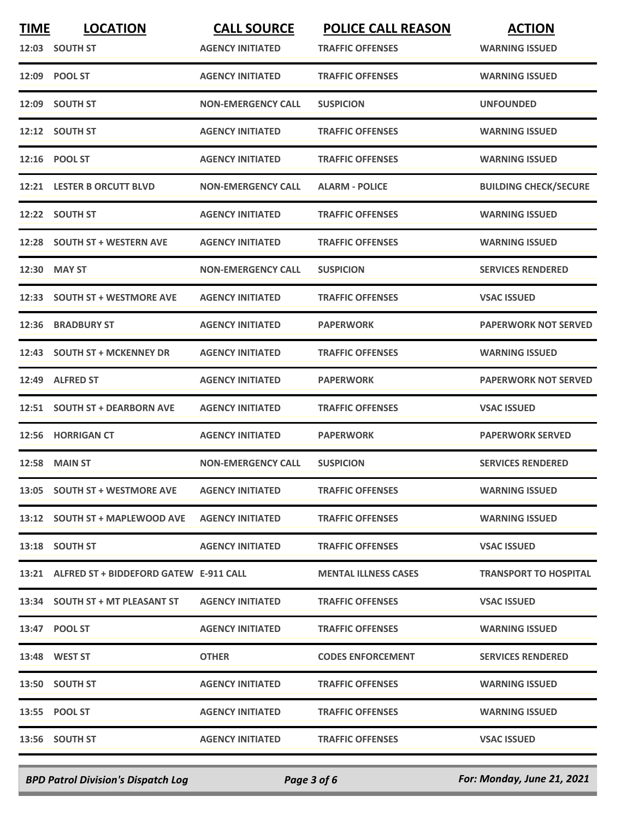| <b>TIME</b> | <b>LOCATION</b>                              | <b>CALL SOURCE</b>        | <b>POLICE CALL REASON</b>   | <b>ACTION</b>                |
|-------------|----------------------------------------------|---------------------------|-----------------------------|------------------------------|
|             | 12:03 SOUTH ST                               | <b>AGENCY INITIATED</b>   | <b>TRAFFIC OFFENSES</b>     | <b>WARNING ISSUED</b>        |
|             | 12:09 POOL ST                                | <b>AGENCY INITIATED</b>   | <b>TRAFFIC OFFENSES</b>     | <b>WARNING ISSUED</b>        |
|             | 12:09 SOUTH ST                               | <b>NON-EMERGENCY CALL</b> | <b>SUSPICION</b>            | <b>UNFOUNDED</b>             |
|             | 12:12 SOUTH ST                               | <b>AGENCY INITIATED</b>   | <b>TRAFFIC OFFENSES</b>     | <b>WARNING ISSUED</b>        |
| 12:16       | <b>POOL ST</b>                               | <b>AGENCY INITIATED</b>   | <b>TRAFFIC OFFENSES</b>     | <b>WARNING ISSUED</b>        |
|             | 12:21 LESTER B ORCUTT BLVD                   | <b>NON-EMERGENCY CALL</b> | <b>ALARM - POLICE</b>       | <b>BUILDING CHECK/SECURE</b> |
| 12:22       | <b>SOUTH ST</b>                              | <b>AGENCY INITIATED</b>   | <b>TRAFFIC OFFENSES</b>     | <b>WARNING ISSUED</b>        |
| 12:28       | <b>SOUTH ST + WESTERN AVE</b>                | <b>AGENCY INITIATED</b>   | <b>TRAFFIC OFFENSES</b>     | <b>WARNING ISSUED</b>        |
| 12:30       | <b>MAY ST</b>                                | <b>NON-EMERGENCY CALL</b> | <b>SUSPICION</b>            | <b>SERVICES RENDERED</b>     |
| 12:33       | <b>SOUTH ST + WESTMORE AVE</b>               | <b>AGENCY INITIATED</b>   | <b>TRAFFIC OFFENSES</b>     | <b>VSAC ISSUED</b>           |
| 12:36       | <b>BRADBURY ST</b>                           | <b>AGENCY INITIATED</b>   | <b>PAPERWORK</b>            | <b>PAPERWORK NOT SERVED</b>  |
| 12:43       | <b>SOUTH ST + MCKENNEY DR</b>                | <b>AGENCY INITIATED</b>   | <b>TRAFFIC OFFENSES</b>     | <b>WARNING ISSUED</b>        |
| 12:49       | <b>ALFRED ST</b>                             | <b>AGENCY INITIATED</b>   | <b>PAPERWORK</b>            | <b>PAPERWORK NOT SERVED</b>  |
| 12:51       | <b>SOUTH ST + DEARBORN AVE</b>               | <b>AGENCY INITIATED</b>   | <b>TRAFFIC OFFENSES</b>     | <b>VSAC ISSUED</b>           |
| 12:56       | <b>HORRIGAN CT</b>                           | <b>AGENCY INITIATED</b>   | <b>PAPERWORK</b>            | <b>PAPERWORK SERVED</b>      |
| 12:58       | <b>MAIN ST</b>                               | <b>NON-EMERGENCY CALL</b> | <b>SUSPICION</b>            | <b>SERVICES RENDERED</b>     |
|             | 13:05 SOUTH ST + WESTMORE AVE                | <b>AGENCY INITIATED</b>   | <b>TRAFFIC OFFENSES</b>     | <b>WARNING ISSUED</b>        |
|             | 13:12 SOUTH ST + MAPLEWOOD AVE               | <b>AGENCY INITIATED</b>   | <b>TRAFFIC OFFENSES</b>     | <b>WARNING ISSUED</b>        |
|             | 13:18 SOUTH ST                               | <b>AGENCY INITIATED</b>   | <b>TRAFFIC OFFENSES</b>     | <b>VSAC ISSUED</b>           |
|             | 13:21 ALFRED ST + BIDDEFORD GATEW E-911 CALL |                           | <b>MENTAL ILLNESS CASES</b> | <b>TRANSPORT TO HOSPITAL</b> |
|             | 13:34 SOUTH ST + MT PLEASANT ST              | <b>AGENCY INITIATED</b>   | <b>TRAFFIC OFFENSES</b>     | <b>VSAC ISSUED</b>           |
|             | 13:47 POOL ST                                | <b>AGENCY INITIATED</b>   | <b>TRAFFIC OFFENSES</b>     | <b>WARNING ISSUED</b>        |
|             | 13:48 WEST ST                                | <b>OTHER</b>              | <b>CODES ENFORCEMENT</b>    | <b>SERVICES RENDERED</b>     |
|             | 13:50 SOUTH ST                               | <b>AGENCY INITIATED</b>   | <b>TRAFFIC OFFENSES</b>     | <b>WARNING ISSUED</b>        |
|             | 13:55 POOL ST                                | <b>AGENCY INITIATED</b>   | <b>TRAFFIC OFFENSES</b>     | <b>WARNING ISSUED</b>        |
|             | 13:56 SOUTH ST                               | <b>AGENCY INITIATED</b>   | <b>TRAFFIC OFFENSES</b>     | <b>VSAC ISSUED</b>           |
|             |                                              |                           |                             |                              |

*BPD Patrol Division's Dispatch Log Page 3 of 6 For: Monday, June 21, 2021*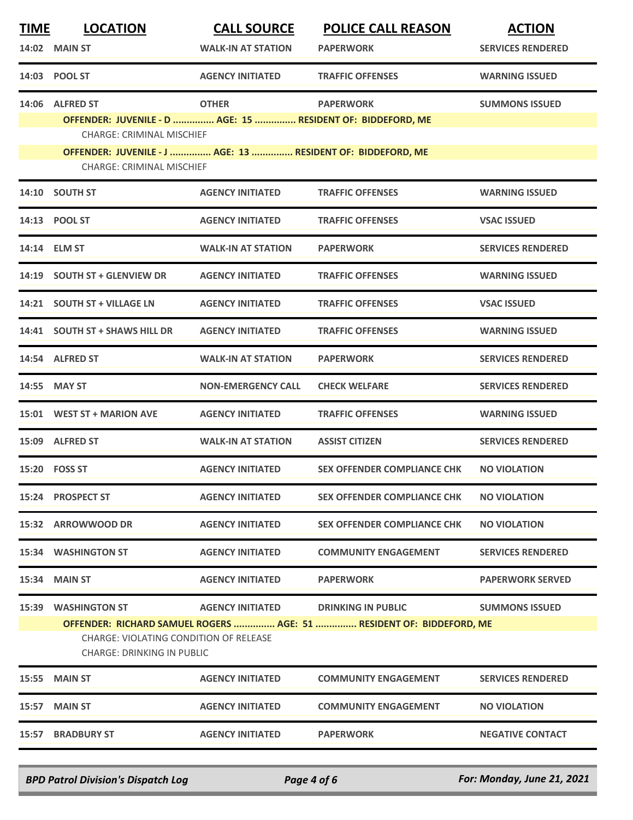| <u>TIME</u> | <b>LOCATION</b>                                                                                                                                     | <b>CALL SOURCE</b>        | <b>POLICE CALL REASON</b>          | <b>ACTION</b>            |  |  |
|-------------|-----------------------------------------------------------------------------------------------------------------------------------------------------|---------------------------|------------------------------------|--------------------------|--|--|
|             | 14:02 MAIN ST                                                                                                                                       | <b>WALK-IN AT STATION</b> | <b>PAPERWORK</b>                   | <b>SERVICES RENDERED</b> |  |  |
|             | 14:03 POOL ST                                                                                                                                       | <b>AGENCY INITIATED</b>   | <b>TRAFFIC OFFENSES</b>            | <b>WARNING ISSUED</b>    |  |  |
|             | 14:06 ALFRED ST                                                                                                                                     | <b>OTHER</b>              | <b>PAPERWORK</b>                   | <b>SUMMONS ISSUED</b>    |  |  |
|             | OFFENDER: JUVENILE - D  AGE: 15  RESIDENT OF: BIDDEFORD, ME                                                                                         |                           |                                    |                          |  |  |
|             | <b>CHARGE: CRIMINAL MISCHIEF</b>                                                                                                                    |                           |                                    |                          |  |  |
|             | OFFENDER: JUVENILE - J  AGE: 13  RESIDENT OF: BIDDEFORD, ME<br><b>CHARGE: CRIMINAL MISCHIEF</b>                                                     |                           |                                    |                          |  |  |
|             | 14:10 SOUTH ST                                                                                                                                      | <b>AGENCY INITIATED</b>   | <b>TRAFFIC OFFENSES</b>            | <b>WARNING ISSUED</b>    |  |  |
|             | 14:13 POOL ST                                                                                                                                       | <b>AGENCY INITIATED</b>   | <b>TRAFFIC OFFENSES</b>            | <b>VSAC ISSUED</b>       |  |  |
|             | 14:14 ELM ST                                                                                                                                        | <b>WALK-IN AT STATION</b> | <b>PAPERWORK</b>                   | <b>SERVICES RENDERED</b> |  |  |
| 14:19       | <b>SOUTH ST + GLENVIEW DR</b>                                                                                                                       | <b>AGENCY INITIATED</b>   | <b>TRAFFIC OFFENSES</b>            | <b>WARNING ISSUED</b>    |  |  |
|             | 14:21 SOUTH ST + VILLAGE LN                                                                                                                         | <b>AGENCY INITIATED</b>   | <b>TRAFFIC OFFENSES</b>            | <b>VSAC ISSUED</b>       |  |  |
| 14:41       | <b>SOUTH ST + SHAWS HILL DR</b>                                                                                                                     | <b>AGENCY INITIATED</b>   | <b>TRAFFIC OFFENSES</b>            | <b>WARNING ISSUED</b>    |  |  |
|             | 14:54 ALFRED ST                                                                                                                                     | <b>WALK-IN AT STATION</b> | <b>PAPERWORK</b>                   | <b>SERVICES RENDERED</b> |  |  |
|             | 14:55 MAY ST                                                                                                                                        | <b>NON-EMERGENCY CALL</b> | <b>CHECK WELFARE</b>               | <b>SERVICES RENDERED</b> |  |  |
|             | 15:01 WEST ST + MARION AVE                                                                                                                          | <b>AGENCY INITIATED</b>   | <b>TRAFFIC OFFENSES</b>            | <b>WARNING ISSUED</b>    |  |  |
|             | 15:09 ALFRED ST                                                                                                                                     | <b>WALK-IN AT STATION</b> | <b>ASSIST CITIZEN</b>              | <b>SERVICES RENDERED</b> |  |  |
|             | 15:20    FOSS ST                                                                                                                                    | <b>AGENCY INITIATED</b>   | <b>SEX OFFENDER COMPLIANCE CHK</b> | <b>NO VIOLATION</b>      |  |  |
|             | 15:24 PROSPECT ST                                                                                                                                   | <b>AGENCY INITIATED</b>   | <b>SEX OFFENDER COMPLIANCE CHK</b> | <b>NO VIOLATION</b>      |  |  |
|             | 15:32 ARROWWOOD DR                                                                                                                                  | <b>AGENCY INITIATED</b>   | <b>SEX OFFENDER COMPLIANCE CHK</b> | <b>NO VIOLATION</b>      |  |  |
|             | <b>15:34 WASHINGTON ST</b>                                                                                                                          | <b>AGENCY INITIATED</b>   | <b>COMMUNITY ENGAGEMENT</b>        | <b>SERVICES RENDERED</b> |  |  |
| 15:34       | <b>MAIN ST</b>                                                                                                                                      | <b>AGENCY INITIATED</b>   | <b>PAPERWORK</b>                   | <b>PAPERWORK SERVED</b>  |  |  |
| 15:39       | <b>WASHINGTON ST</b>                                                                                                                                | <b>AGENCY INITIATED</b>   | <b>DRINKING IN PUBLIC</b>          | <b>SUMMONS ISSUED</b>    |  |  |
|             | OFFENDER: RICHARD SAMUEL ROGERS  AGE: 51  RESIDENT OF: BIDDEFORD, ME<br>CHARGE: VIOLATING CONDITION OF RELEASE<br><b>CHARGE: DRINKING IN PUBLIC</b> |                           |                                    |                          |  |  |
| 15:55       | <b>MAIN ST</b>                                                                                                                                      | <b>AGENCY INITIATED</b>   | <b>COMMUNITY ENGAGEMENT</b>        | <b>SERVICES RENDERED</b> |  |  |
| 15:57       | <b>MAIN ST</b>                                                                                                                                      | <b>AGENCY INITIATED</b>   | <b>COMMUNITY ENGAGEMENT</b>        | <b>NO VIOLATION</b>      |  |  |
| 15:57       | <b>BRADBURY ST</b>                                                                                                                                  | <b>AGENCY INITIATED</b>   | <b>PAPERWORK</b>                   | <b>NEGATIVE CONTACT</b>  |  |  |
|             |                                                                                                                                                     |                           |                                    |                          |  |  |

*BPD Patrol Division's Dispatch Log Page 4 of 6 For: Monday, June 21, 2021*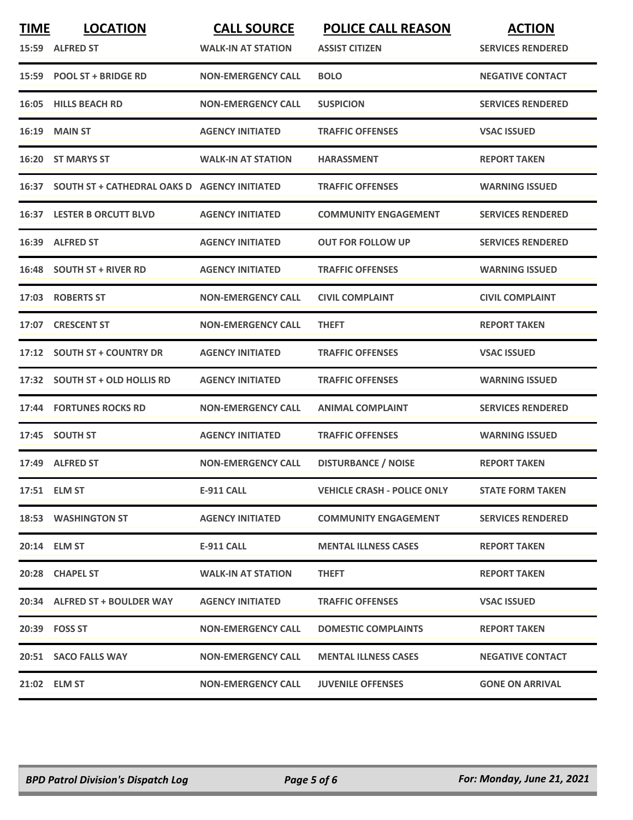| <b>TIME</b> | <b>LOCATION</b>                                    | <b>CALL SOURCE</b>        | <b>POLICE CALL REASON</b>          | <b>ACTION</b>            |
|-------------|----------------------------------------------------|---------------------------|------------------------------------|--------------------------|
|             | 15:59 ALFRED ST                                    | <b>WALK-IN AT STATION</b> | <b>ASSIST CITIZEN</b>              | <b>SERVICES RENDERED</b> |
|             | 15:59 POOL ST + BRIDGE RD                          | <b>NON-EMERGENCY CALL</b> | <b>BOLO</b>                        | <b>NEGATIVE CONTACT</b>  |
| 16:05       | <b>HILLS BEACH RD</b>                              | <b>NON-EMERGENCY CALL</b> | <b>SUSPICION</b>                   | <b>SERVICES RENDERED</b> |
| 16:19       | <b>MAIN ST</b>                                     | <b>AGENCY INITIATED</b>   | <b>TRAFFIC OFFENSES</b>            | <b>VSAC ISSUED</b>       |
|             | 16:20 ST MARYS ST                                  | <b>WALK-IN AT STATION</b> | <b>HARASSMENT</b>                  | <b>REPORT TAKEN</b>      |
|             | 16:37 SOUTH ST + CATHEDRAL OAKS D AGENCY INITIATED |                           | <b>TRAFFIC OFFENSES</b>            | <b>WARNING ISSUED</b>    |
|             | <b>16:37 LESTER B ORCUTT BLVD</b>                  | <b>AGENCY INITIATED</b>   | <b>COMMUNITY ENGAGEMENT</b>        | <b>SERVICES RENDERED</b> |
| 16:39       | <b>ALFRED ST</b>                                   | <b>AGENCY INITIATED</b>   | <b>OUT FOR FOLLOW UP</b>           | <b>SERVICES RENDERED</b> |
|             | 16:48 SOUTH ST + RIVER RD                          | <b>AGENCY INITIATED</b>   | <b>TRAFFIC OFFENSES</b>            | <b>WARNING ISSUED</b>    |
|             | 17:03 ROBERTS ST                                   | <b>NON-EMERGENCY CALL</b> | <b>CIVIL COMPLAINT</b>             | <b>CIVIL COMPLAINT</b>   |
| 17:07       | <b>CRESCENT ST</b>                                 | <b>NON-EMERGENCY CALL</b> | <b>THEFT</b>                       | <b>REPORT TAKEN</b>      |
| 17:12       | <b>SOUTH ST + COUNTRY DR</b>                       | <b>AGENCY INITIATED</b>   | <b>TRAFFIC OFFENSES</b>            | <b>VSAC ISSUED</b>       |
| 17:32       | <b>SOUTH ST + OLD HOLLIS RD</b>                    | <b>AGENCY INITIATED</b>   | <b>TRAFFIC OFFENSES</b>            | <b>WARNING ISSUED</b>    |
| 17:44       | <b>FORTUNES ROCKS RD</b>                           | <b>NON-EMERGENCY CALL</b> | <b>ANIMAL COMPLAINT</b>            | <b>SERVICES RENDERED</b> |
| 17:45       | <b>SOUTH ST</b>                                    | <b>AGENCY INITIATED</b>   | <b>TRAFFIC OFFENSES</b>            | <b>WARNING ISSUED</b>    |
|             | 17:49 ALFRED ST                                    | <b>NON-EMERGENCY CALL</b> | <b>DISTURBANCE / NOISE</b>         | <b>REPORT TAKEN</b>      |
|             | 17:51 ELM ST                                       | E-911 CALL                | <b>VEHICLE CRASH - POLICE ONLY</b> | <b>STATE FORM TAKEN</b>  |
|             | 18:53 WASHINGTON ST                                | <b>AGENCY INITIATED</b>   | <b>COMMUNITY ENGAGEMENT</b>        | <b>SERVICES RENDERED</b> |
|             | 20:14 ELM ST                                       | E-911 CALL                | <b>MENTAL ILLNESS CASES</b>        | <b>REPORT TAKEN</b>      |
|             | 20:28 CHAPEL ST                                    | <b>WALK-IN AT STATION</b> | <b>THEFT</b>                       | <b>REPORT TAKEN</b>      |
|             | 20:34 ALFRED ST + BOULDER WAY                      | <b>AGENCY INITIATED</b>   | <b>TRAFFIC OFFENSES</b>            | <b>VSAC ISSUED</b>       |
|             | 20:39 FOSS ST                                      | <b>NON-EMERGENCY CALL</b> | <b>DOMESTIC COMPLAINTS</b>         | <b>REPORT TAKEN</b>      |
|             | 20:51 SACO FALLS WAY                               | <b>NON-EMERGENCY CALL</b> | <b>MENTAL ILLNESS CASES</b>        | <b>NEGATIVE CONTACT</b>  |
|             | 21:02 ELM ST                                       | <b>NON-EMERGENCY CALL</b> | <b>JUVENILE OFFENSES</b>           | <b>GONE ON ARRIVAL</b>   |